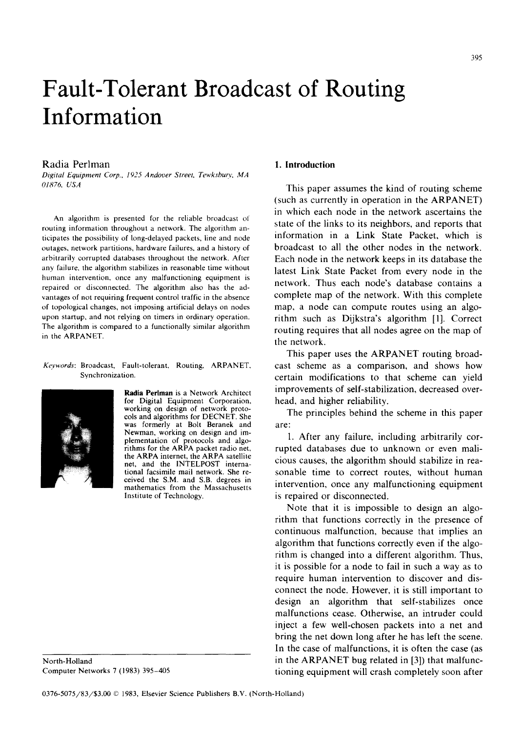# **Fault-Tolerant Broadcast of Routing Information**

# Radia Perlman

*Digital Equipment Corp., 1925 Andover Street, Tewksbury, MA 01876, USA* 

An algorithm is presented for the reliable broadcast of routing information throughout a network. The algorithm anticipates the possibility of long-delayed packets, line and node outages, network partitions, hardware failures, and a history of arbitrarily corrupted databases throughout the network, After any failure, the algorithm stabilizes in reasonable time without human intervention, once any malfunctioning equipment is repaired or disconnected. The algorithm also has the advantages of not requiring frequent control traffic in the absence of topological changes, not imposing artificial delays on nodes upon startup, and not relying on timers in ordinary operation. The algorithm is compared to a functionally similar algorithm in the ARPANET.

#### *Keywords:* Broadcast, Fault-tolerant. Routing, ARPANET, Synchronization.



**Radia Perlman** is a Network Architect for Digital Equipment Corporation, working on design of network protocols and algorithms for DECNET. She was formerly at Bolt Beranek and Newman, working on design and implementation of protocols and algorithms for the ARPA packet radio net, the ARPA internet, the ARPA satellite net, and the INTELPOST international facsimile mail network. She received the S.M. and S.B. degrees in mathematics from the Massachusetts Institute of Technology.

#### North-Holland Computer Networks 7 (1983) 395-405

# **1. Introduction**

This paper assumes the kind of routing scheme (such as currently in operation in the ARPANET) in which each node in the network ascertains the state of the links to its neighbors, and reports that information in a Link State Packet, which is broadcast to all the other nodes in the network. Each node in the network keeps in its database the latest Link State Packet from every node in the network. Thus each node's database contains a complete map of the network. With this complete map, a node can compute routes using an algorithm such as Dijkstra's algorithm [1]. Correct routing requires that all nodes agree on the map of the network.

This paper uses the ARPANET routing broadcast scheme as a comparison, and shows how certain modifications to that scheme can yield improvements of self-stabilization, decreased overhead, and higher reliability.

The principles behind the scheme in this paper are:

1. After any failure, including arbitrarily corrupted databases due to unknown or even malicious causes, the algorithm should stabilize in reasonable time to correct routes, without human intervention, once any malfunctioning equipment is repaired or disconnected.

Note that it is impossible to design an algorithm that functions correctly in the presence of continuous malfunction, because that implies an algorithm that functions correctly even if the algorithm is changed into a different algorithm. Thus, it is possible for a node to fail in such a way as to require human intervention to discover and disconnect the node. However, it is still important to design an algorithm that self-stabilizes once malfunctions cease. Otherwise, an intruder could inject a few well-chosen packets into a net and bring the net down long after he has left the scene. In the case of malfunctions, it is often the case (as in the ARPANET bug related in [3]) that malfunctioning equipment will crash completely soon after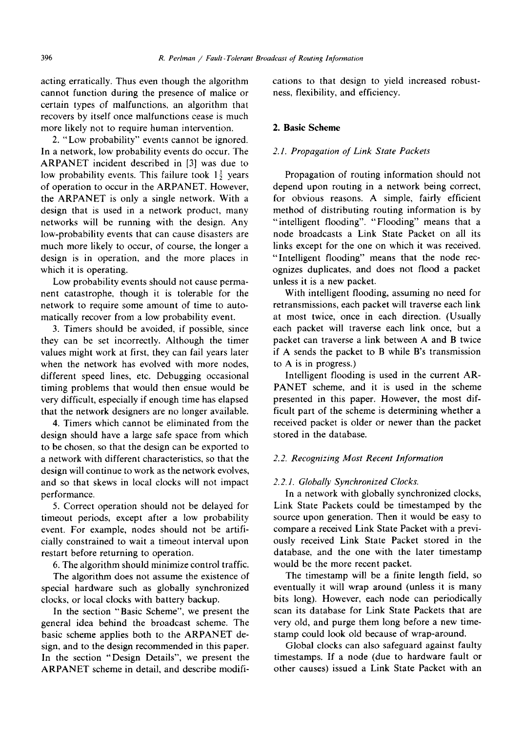acting erratically. Thus even though the algorithm cannot function during the presence of malice or certain types of malfunctions, an algorithm that recovers by itself once malfunctions cease is much more likely not to require human intervention.

2. "Low probability" events cannot be ignored. In a network, low probability events do occur. The ARPANET incident described in [3] was due to low probability events. This failure took  $1\frac{1}{2}$  years of operation to occur in the ARPANET. However, the ARPANET is only a single network. With a design that is used in a network product, many networks will be running with the design. Any low-probability events that can cause disasters are much more likely to occur, of course, the longer a design is in operation, and the more places in which it is operating.

Low probability events should not cause permanent catastrophe, though it is tolerable for the network to require some amount of time to automatically recover from a low probability event.

3. Timers should be avoided, if possible, since they can be set incorrectly. Although the timer values might work at first, they can fail years later when the network has evolved with more nodes, different speed lines, etc. Debugging occasional timing problems that would then ensue would be very difficult, especially if enough time has elapsed that the network designers are no longer available.

4. Timers which cannot be eliminated from the design should have a large safe space from which to be chosen, so that the design can be exported to a network with different characteristics, so that the design will continue to work as the network evolves, and so that skews in local clocks will not impact performance.

5. Correct operation should not be delayed for timeout periods, except after a low probability event. For example, nodes should not be artificially constrained to wait a timeout interval upon restart before returning to operation.

6. The algorithm should minimize control traffic.

The algorithm does not assume the existence of special hardware such as globally synchronized clocks, or local clocks with battery backup.

In the section "Basic Scheme", we present the general idea behind the broadcast scheme. The basic scheme applies both to the ARPANET design, and to the design recommended in this paper. In the section "Design Details", we present the ARPANET scheme in detail, and describe modifications to that design to yield increased robustness, flexibility, and efficiency.

# **2. Basic Scheme**

## *2.1. Propagation of Link State Packets*

Propagation of routing information should not depend upon routing in a network being correct, for obvious reasons. A simple, fairly efficient method of distributing routing information is by "intelligent flooding". "Flooding" means that a node broadcasts a Link State Packet on all its links except for the one on which it was received. "Intelligent flooding" means that the node recognizes duplicates, and does not flood a packet unless it is a new packet.

With intelligent flooding, assuming no need for retransmissions, each packet will traverse each link at most twice, once in each direction. (Usually each packet will traverse each link once, but a packet can traverse a link between A and B twice if A sends the packet to B while B's transmission to A is in progress.)

Intelligent flooding is used in the current AR-PANET scheme, and it is used in the scheme presented in this paper. However, the most difficult part of the scheme is determining whether a received packet is older or newer than the packet stored in the database.

## *2.2. Recognizing Most Recent Information*

#### *2.2.1. Globally Synchronized Clocks.*

In a network with globally synchronized clocks, Link State Packets could be timestamped by the source upon generation. Then it would be easy to compare a received Link State Packet with a previously received Link State Packet stored in the database, and the one with the later timestamp would be the more recent packet.

The timestamp will be a finite length field, so eventually it will wrap around (unless it is many bits long). However, each node can periodically scan its database for Link State Packets that are very old, and purge them long before a new timestamp could look old because of wrap-around.

Global clocks can also safeguard against faulty timestamps. If a node (due to hardware fault or other causes) issued a Link State Packet with an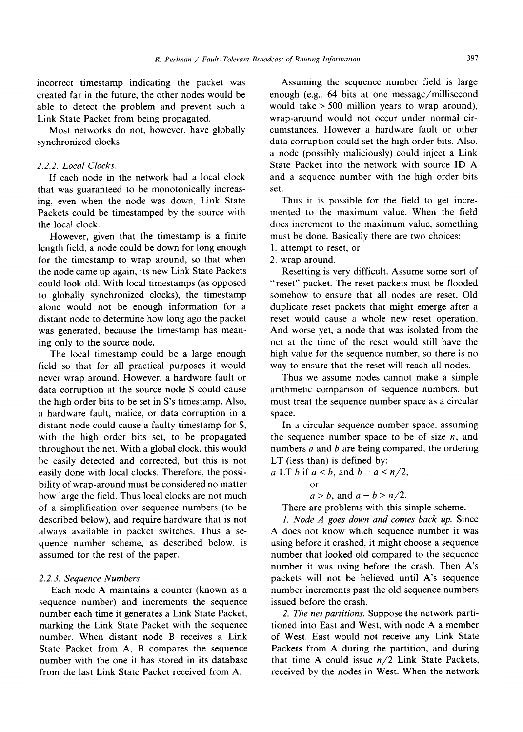incorrect timestamp indicating the packet was created far in the future, the other nodes would be able to detect the problem and prevent such a Link State Packet from being propagated.

Most networks do not, however, have globally synchronized clocks.

# *2.2.2. Local Clocks.*

If each node in the network had a local clock that was guaranteed to be monotonically increasing, even when the node was down, Link State Packets could be timestamped by the source with the local clock.

However, given that the timestamp is a finite length field, a node could be down for long enough for the timestamp to wrap around, so that when the node came up again, its new Link State Packets could look old. With local timestamps (as opposed to globally synchronized clocks), the timestamp alone would not be enough information for a distant node to determine how long ago the packet was generated, because the timestamp has meaning only to the source node.

The local timestamp could be a large enough field so that for all practical purposes it would never wrap around. However, a hardware fault or data corruption at the source node S could cause the high order bits to be set in S's timestamp. Also, a hardware fault, malice, or data corruption in a distant node could cause a faulty timestamp for S, with the high order bits set, to be propagated throughout the net. With a global clock, this would be easily detected and corrected, but this is not easily done with local clocks. Therefore, the possibility of wrap-around must be considered no matter how large the field. Thus local clocks are not much of a simplification over sequence numbers (to be described below), and require hardware that is not always available in packet switches. Thus a sequence number scheme, as described below, is assumed for the rest of the paper.

#### *2.2.3. Sequence Numbers*

Each node A maintains a counter (known as a sequence number) and increments the sequence number each time it generates a Link State Packet, marking the Link State Packet with the sequence number. When distant node B receives a Link State Packet from A, B compares the sequence number with the one it has stored in its database from the last Link State Packet received from A.

Assuming the sequence number field is large enough (e.g., 64 bits at one message/millisecond would take  $> 500$  million years to wrap around), wrap-around would not occur under normal circumstances. However a hardware fault or other data corruption could set the high order bits. Also, a node (possibly maliciously) could inject a Link State Packet into the network with source ID A and a sequence number with the high order bits set.

Thus it is possible for the field to get incremented to the maximum value. When the field does increment to the maximum value, something must be done. Basically there are two choices:

1. attempt to reset, or

2. wrap around.

Resetting is very difficult. Assume some sort of "reset" packet. The reset packets must be flooded somehow to ensure that all nodes are reset. Old duplicate reset packets that might emerge after a reset would cause a whole new reset operation. And worse yet, a node that was isolated from the net at the time of the reset would still have the high value for the sequence number, so there is no way to ensure that the reset will reach all nodes.

Thus we assume nodes cannot make a simple arithmetic comparison of sequence numbers, but must treat the sequence number space as a circular space.

In a circular sequence number space, assuming the sequence number space to be of size  $n$ , and numbers  $a$  and  $b$  are being compared, the ordering LT (less than) is defined by:

a LT b if  $a < b$ , and  $b - a < n/2$ ,

or

$$
a > b, \text{ and } a - b > n/2.
$$

There are problems with this simple scheme.

*1. Node A goes down and comes back up.* Since A does not know which sequence number it was using before it crashed, it might choose a sequence number that looked old compared to the sequence number it was using before the crash. Then A's packets will not be believed until A's sequence number increments past the old sequence numbers issued before the crash.

*2. The net partitions.* Suppose the network partitioned into East and West, with node A a member of West. East would not receive any Link State Packets from A during the partition, and during that time A could issue *n/2* Link State Packets, received by the nodes in West. When the network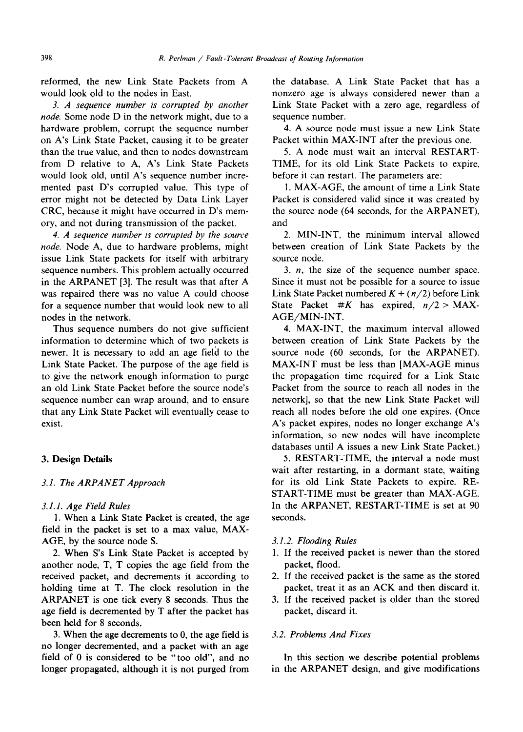reformed, the new Link State Packets from A would look old to the nodes in East.

*3. A sequence number is corrupted by another node.* Some node D in the network might, due to a hardware problem, corrupt the sequence number on A's Link State Packet, causing it to be greater than the true value, and then to nodes downstream from D relative to A, A's Link State Packets would look old, until A's sequence number incremented past D's corrupted value. This type of error might not be detected by Data Link Layer CRC, because it might have occurred in D's memory, and not during transmission of the packet.

*4. A sequence number is corrupted by the source node.* Node A, due to hardware problems, might issue Link State packets for itself with arbitrary sequence numbers. This problem actually occurred in the ARPANET [3]. The result was that after A was repaired there was no value A could choose for a sequence number that would look new to all nodes in the network.

Thus sequence numbers do not give sufficient information to determine which of two packets is newer. It is necessary to add an age field to the Link State Packet. The purpose of the age field is to give the network enough information to purge an old Link State Packet before the source node's sequence number can wrap around, and to ensure that any Link State Packet will eventually cease to exist.

## **3. Design Details**

### *3.1. The ARPANET Approach*

### *3.1.1. Age Field Rules*

1. When a Link State Packet is created, the age field in the packet is set to a max value, MAX-AGE, by the source node S.

2. When S's Link State Packet is accepted by another node, T, T copies the age field from the received packet, and decrements it according to holding time at T. The clock resolution in the ARPANET is one tick every 8 seconds. Thus the age field is decremented by T after the packet has been held for 8 seconds.

3. When the age decrements to 0, the age field is no longer decremented, and a packet with an age field of 0 is considered to be "too old", and no longer propagated, although it is not purged from the database. A Link State Packet that has a nonzero age is always considered newer than a Link State Packet with a zero age, regardless of sequence number.

4. A source node must issue a new Link State Packet within MAX-INT after the previous one.

5. A node must wait an interval RESTART-TIME, for its old Link State Packets to expire, before it can restart. The parameters are:

1. MAX-AGE, the amount of time a Link State Packet is considered valid since it was created by the source node (64 seconds, for the ARPANET), and

2. MIN-INT, the minimum interval allowed between creation of Link State Packets by the source node.

3.  $n$ , the size of the sequence number space. Since it must not be possible for a source to issue Link State Packet numbered *K + (n/2)* before Link State Packet  $#K$  has expired,  $n/2$  > MAX-AGE/MIN-INT.

4. MAX-INT, the maximum interval allowed between creation of Link State Packets by the source node (60 seconds, for the ARPANET). MAX-INT must be less than [MAX-AGE minus the propagation time required for a Link State Packet from the source to reach all nodes in the network], so that the new Link State Packet will reach all nodes before the old one expires. (Once A's packet expires, nodes no longer exchange A's information, so new nodes will have incomplete databases until A issues a new Link State Packet.)

5. RESTART-TIME, the interval a node must wait after restarting, in a dormant state, waiting for its old Link State Packets to expire. RE-START-TIME must be greater than MAX-AGE. In the ARPANET, RESTART-TIME is set at 90 seconds.

#### *3.1.2. Flooding Rules*

- 1. If the received packet is newer than the stored packet, flood.
- 2. If the received packet is the same as the stored packet, treat it as an ACK and then discard it.
- 3. If the received packet is older than the stored packet, discard it.

#### *3.2. Problems And Fixes*

In this section we describe potential problems in the ARPANET design, and give modifications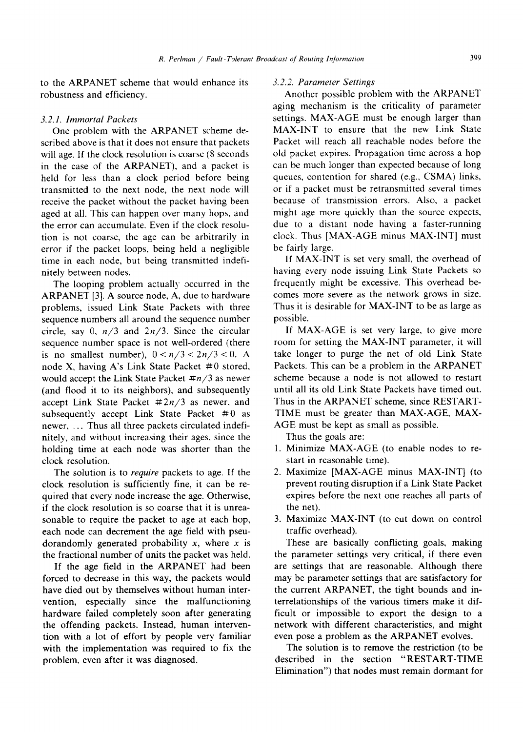to the ARPANET scheme that would enhance its robustness and efficiency.

### *3.2.1. Immortal Packets*

One problem with the ARPANET scheme described above is that it does not ensure that packets will age. If the clock resolution is coarse (8 seconds in the case of the ARPANET), and a packet is held for less than a clock period before being transmitted to the next node, the next node will receive the packet without the packet having been aged at all. This can happen over many hops, and the error can accumulate. Even if the clock resolution is not coarse, the age can be arbitrarily in error if the packet loops, being held a negligible time in each node, but being transmitted indefinitely between nodes.

The looping problem actually occurred in the ARPANET [3]. A source node, A, due to hardware problems, issued Link State Packets with three sequence numbers all around the sequence number circle, say  $0$ ,  $n/3$  and  $2n/3$ . Since the circular sequence number space is not well-ordered (there is no smallest number),  $0 \lt n/3 \lt 2n/3 \lt 0$ . A node X, having A's Link State Packet  $#0$  stored, would accept the Link State Packet  $\#n/3$  as newer (and flood it to its neighbors), and subsequently accept Link State Packet  $\#2n/3$  as newer, and subsequently accept Link State Packet  $#0$  as newer, ... Thus all three packets circulated indefinitely, and without increasing their ages, since the holding time at each node was shorter than the clock resolution.

The solution is to *require* packets to age. If the clock resolution is sufficiently fine, it can be required that every node increase the age. Otherwise, if the clock resolution is so coarse that it is unreasonable to require the packet to age at each hop, each node can decrement the age field with pseudorandomly generated probability  $x$ , where  $x$  is the fractional number of units the packet was held.

If the age field in the ARPANET had been forced to decrease in this way, the packets would have died out by themselves without human intervention, especially since the malfunctioning hardware failed completely soon after generating the offending packets. Instead, human intervention with a lot of effort by people very familiar with the implementation was required to fix the problem, even after it was diagnosed.

#### *3.2.2. Parameter Settings*

Another possible problem with the ARPANET aging mechanism is the criticality of parameter settings. MAX-AGE must be enough larger than MAX-INT to ensure that the new Link State Packet will reach all reachable nodes before the old packet expires. Propagation time across a hop can be much longer than expected because of long queues, contention for shared (e.g., CSMA) links, or if a packet must be retransmitted several times because of transmission errors. Also, a packet might age more quickly than the source expects, due to a distant node having a faster-running clock. Thus [MAX-AGE minus MAX-INT] must be fairly large.

If MAX-INT is set very small, the overhead of having every node issuing Link State Packets so frequently might be excessive. This overhead becomes more severe as the network grows in size. Thus it is desirable for MAX-INT to be as large as possible.

If MAX-AGE is set very large, to give more room for setting the MAX-INT parameter, it will take longer to purge the net of old Link State Packets. This can be a problem in the ARPANET scheme because a node is not allowed to restart until all its old Link State Packets have timed out. Thus in the ARPANET scheme, since RESTART-TIME must be greater than MAX-AGE, MAX-AGE must be kept as small as possible.

Thus the goals are:

- 1. Minimize MAX-AGE (to enable nodes to restart in reasonable time).
- 2. Maximize [MAX-AGE minus MAX-INT] (to prevent routing disruption if a Link State Packet expires before the next one reaches all parts of the net).
- 3. Maximize MAX-INT (to cut down on control traffic overhead).

These are basically conflicting goals, making the parameter settings very critical, if there even are settings that are reasonable. Although there may be parameter settings that are satisfactory for the current ARPANET, the tight bounds and interrelationships of the various timers make it difficult or impossible to export the design to a network with different characteristics, and might even pose a problem as the ARPANET evolves.

The solution is to remove the restriction (to be described in the section "RESTART-TIME Elimination") that nodes must remain dormant for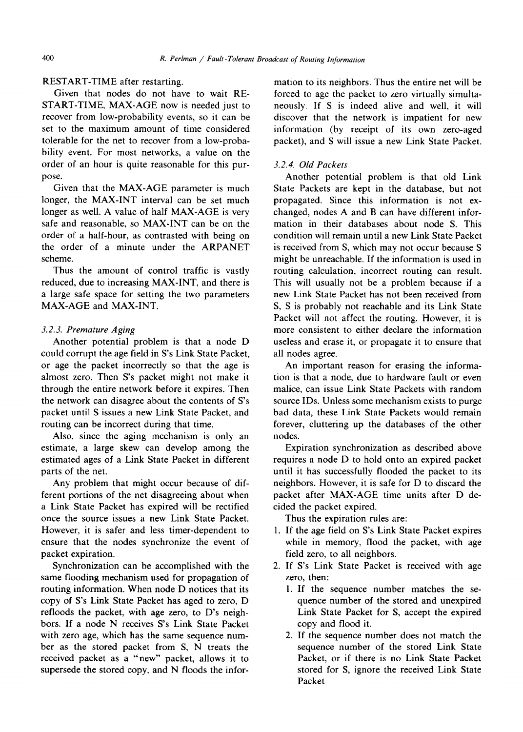## RESTART-TIME after restarting.

Given that nodes do not have to wait RE-START-TIME, MAX-AGE now is needed just to recover from low-probability events, so it can be set to the maximum amount of time considered tolerable for the net to recover from a low-probability event. For most networks, a value on the order of an hour is quite reasonable for this purpose.

Given that the MAX-AGE parameter is much longer, the MAX-INT interval can be set much longer as well. A value of half MAX-AGE is very safe and reasonable, so MAX-INT can be on the order of a half-hour, as contrasted with being on the order of a minute under the ARPANET scheme.

Thus the amount of control traffic is vastly reduced, due to increasing MAX-INT, and there is a large safe space for setting the two parameters MAX-AGE and MAX-INT.

## *3.2.3. Premature Aging*

Another potential problem is that a node D could corrupt the age field in S's Link State Packet, or age the packet incorrectly so that the age is almost zero. Then S's packet might not make it through the entire network before it expires. Then the network can disagree about the contents of S's packet until S issues a new Link State Packet, and routing can be incorrect during that time.

Also, since the aging mechanism is only an estimate, a large skew can develop among the estimated ages of a Link State Packet in different parts of the net.

Any problem that might occur because of different portions of the net disagreeing about when a Link State Packet has expired will be rectified once the source issues a new Link State Packet. However, it is safer and less timer-dependent to ensure that the nodes synchronize the event of packet expiration.

Synchronization can be accomplished with the same flooding mechanism used for propagation of routing information. When node D notices that its copy of S's Link State Packet has aged to zero, D refloods the packet, with age zero, to D's neighbors. If a node N receives S's Link State Packet with zero age, which has the same sequence number as the stored packet from S, N treats the received packet as a "new" packet, allows it to supersede the stored copy, and N floods the information to its neighbors. Thus the entire net will be forced to age the packet to zero virtually simultaneously. If S is indeed alive and well, it will discover that the network is impatient for new information (by receipt of its own zero-aged packet), and S will issue a new Link State Packet.

## *3.2.4. Old Packets*

Another potential problem is that old Link State Packets are kept in the database, but not propagated. Since this information is not exchanged, nodes A and B can have different information in their databases about node S. This condition will remain until a new Link State Packet is received from S, which may not occur because S might be unreachable. If the information is used in routing calculation, incorrect routing can result. This will usually not be a problem because if a new Link State Packet has not been received from S, S is probably not reachable and its Link State Packet will not affect the routing. However, it is more consistent to either declare the information useless and erase it, or propagate it to ensure that all nodes agree.

An important reason for erasing the information is that a node, due to hardware fault or even malice, can issue Link State Packets with random source IDs. Unless some mechanism exists to purge bad data, these Link State Packets would remain forever, cluttering up the databases of the other nodes.

Expiration synchronization as described above requires a node D to hold onto an expired packet until it has successfully flooded the packet to its neighbors. However, it is safe for D to discard the packet after MAX-AGE time units after D decided the packet expired.

Thus the expiration rules are:

- 1. If the age field on S's Link State Packet expires while in memory, flood the packet, with age field zero, to all neighbors.
- 2. If S's Link State Packet is received with age zero, then:
	- 1. If the sequence number matches the sequence number of the stored and unexpired Link State Packet for S, accept the expired copy and flood it.
	- 2. If the sequence number does not match the sequence number of the stored Link State Packet, or if there is no Link State Packet stored for S, ignore the received Link State Packet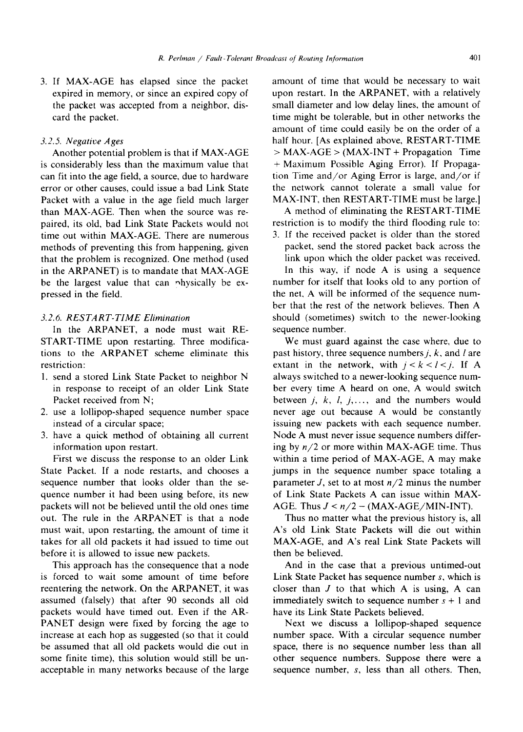3. If MAX-AGE has elapsed since the packet expired in memory, or since an expired copy of the packet was accepted from a neighbor, discard the packet.

#### *3.2.5. Negative Ages*

Another potential problem is that if MAX-AGE is considerably less than the maximum value that can fit into the age field, a source, due to hardware error or other causes, could issue a bad Link State Packet with a value in the age field much larger than MAX-AGE. Then when the source was repaired, its old, bad Link State Packets would not time out within MAX-AGE. There are numerous methods of preventing this from happening, given that the problem is recognized. One method (used in the ARPANET) is to mandate that MAX-AGE be the largest value that can physically be expressed in the field.

## *3.2.6. RESTART-TIME Elimination*

In the ARPANET, a node must wait RE-START-TIME upon restarting. Three modifications to the ARPANET scheme eliminate this restriction:

- 1. send a stored Link State Packet to neighbor N in response to receipt of an older Link State Packet received from N;
- 2. use a lollipop-shaped sequence number space instead of a circular space;
- 3. have a quick method of obtaining all current information upon restart.

First we discuss the response to an older Link State Packet. If a node restarts, and chooses a sequence number that looks older than the sequence number it had been using before, its new packets will not be believed until the old ones time out. The rule in the ARPANET is that a node must wait, upon restarting, the amount of time it takes for all old packets it had issued to time out before it is allowed to issue new packets.

This approach has the consequence that a node is forced to wait some amount of time before reentering the network. On the ARPANET, it was assumed (falsely) that after 90 seconds all old packets would have timed out. Even if the AR-PANET design were fixed by forcing the age to increase at each hop as suggested (so that it could be assumed that all old packets would die out in some finite time), this solution would still be unacceptable in many networks because of the large amount of time that would be necessary to wait upon restart. In the ARPANET, with a relatively small diameter and low delay lines, the amount of time might be tolerable, but in other networks the amount of time could easily be on the order of a half hour. [As explained above, RESTART-TIME  $>$  MAX-AGE  $>$  (MAX-INT + Propagation Time) + Maximum Possible Aging Error). If Propagation Time and/or Aging Error is large, and/or if the network cannot tolerate a small value for MAX-INT, then RESTART-TIME must be large.]

A method of eliminating the RESTART-TIME restriction is to modify the third flooding rule to: 3. If the received packet is older than the stored

packet, send the stored packet back across the link upon which the older packet was received. In this way, if node A is using a sequence number for itself that looks old to any portion of the net, A will be informed of the sequence number that the rest of the network believes. Then A should (sometimes) switch to the newer-looking sequence number.

We must guard against the case where, due to past history, three sequence numbers  $j, k$ , and  $l$  are extant in the network, with  $j < k < l < j$ . If A always switched to a newer-looking sequence number every time A heard on one, A would switch between *j*, *k*, *l*, *j*,..., and the numbers would never age out because A would be constantly issuing new packets with each sequence number. Node A must never issue sequence numbers differing by *n/2* or more within MAX-AGE time. Thus within a time period of MAX-AGE, A may make jumps in the sequence number space totaling a parameter J, set to at most *n/2* minus the number of Link State Packets A can issue within MAX-AGE. Thus  $J < n/2$  – (MAX-AGE/MIN-INT).

Thus no matter what the previous history is, all A's old Link State Packets will die out within MAX-AGE, and A's real Link State Packets will then be believed.

And in the case that a previous untimed-out Link State Packet has sequence number s, which is closer than  $J$  to that which A is using, A can immediately switch to sequence number  $s + 1$  and have its Link State Packets believed.

Next we discuss a lollipop-shaped sequence number space. With a circular sequence number space, there is no sequence number less than all other sequence numbers. Suppose there were a sequence number, s, less than all others. Then,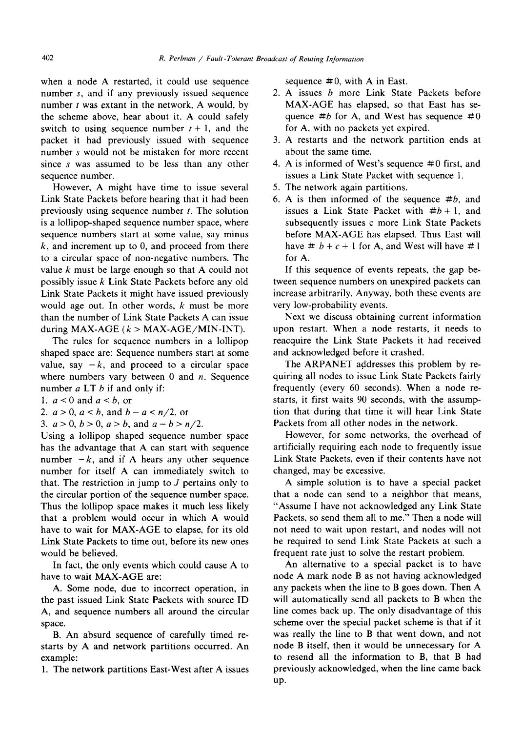when a node A restarted, it could use sequence number s, and if any previously issued sequence number  $t$  was extant in the network, A would, by the scheme above, hear about it. A could safely switch to using sequence number  $t + 1$ , and the packet it had previously issued with sequence number s would not be mistaken for more recent since s was assumed to be less than any other sequence number.

However, A might have time to issue several Link State Packets before hearing that it had been previously using sequence number  $t$ . The solution is a lollipop-shaped sequence number space, where sequence numbers start at some value, say minus  $k$ , and increment up to 0, and proceed from there to a circular space of non-negative numbers. The value  $k$  must be large enough so that A could not possibly issue k Link State Packets before any old Link State Packets it might have issued previously would age out. In other words,  $k$  must be more than the number of Link State Packets A can issue during MAX-AGE  $(k > \text{MAX-AGE}/\text{MIN-INT})$ .

The rules for sequence numbers in a lollipop shaped space are: Sequence numbers start at some value, say  $-k$ , and proceed to a circular space where numbers vary between  $0$  and  $n$ . Sequence number  $a$  LT  $b$  if and only if:

1.  $a < 0$  and  $a < b$ , or

2.  $a > 0$ ,  $a < b$ , and  $b - a < n/2$ , or

3.  $a > 0$ ,  $b > 0$ ,  $a > b$ , and  $a - b > n/2$ .

Using a lollipop shaped sequence number space has the advantage that A can start with sequence number  $-k$ , and if A hears any other sequence number for itself A can immediately switch to that. The restriction in jump to  $J$  pertains only to the circular portion of the sequence number space. Thus the lollipop space makes it much less likely that a problem would occur in which A would have to wait for MAX-AGE to elapse, for its old Link State Packets to time out, before its new ones would be believed.

In fact, the only events which could cause A to have to wait MAX-AGE are:

A. Some node, due to incorrect operation, in the past issued Link State Packets with source ID A, and sequence numbers all around the circular space.

B. An absurd sequence of carefully timed restarts by A and network partitions occurred. An example:

1. The network partitions East-West after A issues

sequence  $#0$ , with A in East.

- 2. A issues *b* more Link State Packets before MAX-AGE has elapsed, so that East has sequence  $#b$  for A, and West has sequence  $#0$ for A, with no packets yet expired.
- 3. A restarts and the network partition ends at about the same time.
- 4. A is informed of West's sequence #0 first, and issues a Link State Packet with sequence 1.
- 5. The network again partitions.
- 6. A is then informed of the sequence  $#b$ , and issues a Link State Packet with  $\#b + 1$ , and subsequently issues c more Link State Packets before MAX-AGE has elapsed. Thus East will have  $\# b + c + 1$  for A, and West will have  $\# 1$ for A.

If this sequence of events repeats, the gap between sequence numbers on unexpired packets can increase arbitrarily. Anyway, both these events are very low-probability events.

Next we discuss obtaining current information upon restart. When a node restarts, it needs to reacquire the Link State Packets it had received and acknowledged before it crashed.

The ARPANET addresses this problem by requiring all nodes to issue Link State Packets fairly frequently (every 60 seconds). When a node restarts, it first waits 90 seconds, with the assumption that during that time it will hear Link State Packets from all other nodes in the network.

However, for some networks, the overhead of artificially requiring each node to frequently issue Link State Packets, even if their contents have not changed, may be excessive.

A simple solution is to have a special packet that a node can send to a neighbor that means, "Assume I have not acknowledged any Link State Packets, so send them all to me." Then a node will not need to wait upon restart, and nodes will not be required to send Link State Packets at such a frequent rate just to solve the restart problem.

An alternative to a special packet is to have node A mark node B as not having acknowledged any packets when the line to B goes down. Then A will automatically send all packets to B when the line comes back up. The only disadvantage of this scheme over the special packet scheme is that if it was really the line to B that went down, and not node B itself, then it would be unnecessary for A to resend all the information to B, that B had previously acknowledged, when the line came back up.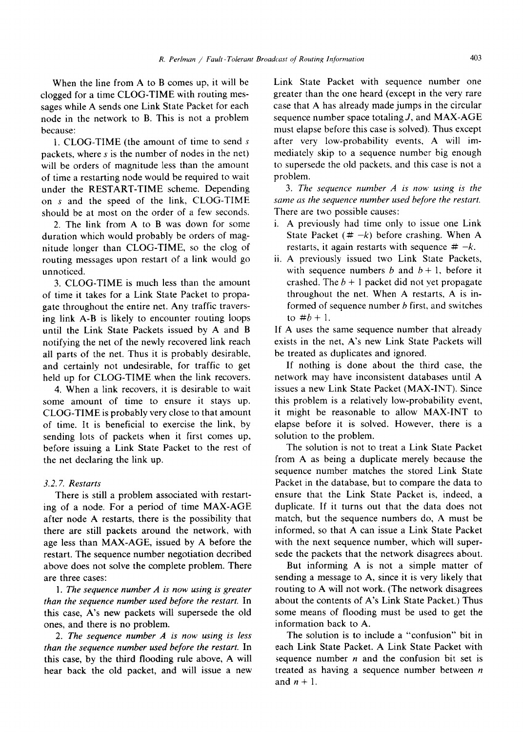When the line from A to B comes up, it will be clogged for a time CLOG-TIME with routing messages while A sends one Link State Packet for each node in the network to B. This is not a problem because:

1. CLOG-TIME (the amount of time to send s packets, where s is the number of nodes in the net) will be orders of magnitude less than the amount of time a restarting node would be required to wait under the RESTART-TIME scheme. Depending on s and the speed of the link, CLOG-TIME should be at most on the order of a few seconds.

2. The link from A to B was down for some duration which would probably be orders of magnitude longer than CLOG-TIME, so the clog of routing messages upon restart of a link would go unnoticed.

3. CLOG-TIME is much less than the amount of time it takes for a Link State Packet to propagate throughout the entire net. Any traffic traversing link A-B is likely to encounter routing loops until the Link State Packets issued by A and B notifying the net of the newly recovered link reach all parts of the net. Thus it is probably desirable, and certainly not undesirable, for traffic to get held up for CLOG-TIME when the link recovers.

4. When a link recovers, it is desirable to wait some amount of time to ensure it stays up. CLOG-TIME is probably very close to that amount of time. It is beneficial to exercise the link, by sending lots of packets when it first comes up, before issuing a Link State Packet to the rest of the net declaring the link up.

## *3.2.7. Restarts*

There is still a problem associated with restarting of a node. For a period of time MAX-AGE after node A restarts, there is the possibility that there are still packets around the network, with age less than MAX-AGE, issued by A before the restart. The sequence number negotiation decribed above does not solve the complete problem. There are three cases:

*1. The sequence number A is now using is greater than the sequence number used before the restart.* In this case, A's new packets will supersede the old ones, and there is no problem.

*2. The sequence number A is now using is less than the sequence number used before the restart.* In this case, by the third flooding rule above, A will hear back the old packet, and will issue a new Link State Packet with sequence number one greater than the one heard (except in the very rare case that A has already made jumps in the circular sequence number space totaling  $J$ , and MAX-AGE must elapse before this case is solved). Thus except after very low-probability events, A will immediately skip to a sequence number big enough to supersede the old packets, and this case is not a problem.

*3. The sequence number A is now using is the same as the sequence number used before the restart.*  There are two possible causes:

- i. A previously had time only to issue one Link State Packet ( $# -k$ ) before crashing. When A restarts, it again restarts with sequence  $# -k$ .
- ii. A previously issued two Link State Packets, with sequence numbers b and  $b + 1$ , before it crashed. The  $b + 1$  packet did not yet propagate throughout the net. When A restarts, A is informed of sequence number  $b$  first, and switches to  $#b + 1$ .

If A uses the same sequence number that already exists in the net, A's new Link State Packets will be treated as duplicates and ignored.

If nothing is done about the third case, the network may have inconsistent databases until A issues a new Link State Packet (MAX-INT). Since this problem is a relatively low-probability event, it might be reasonable to allow MAX-INT to elapse before it is solved. However, there is a solution to the problem.

The solution is not to treat a Link State Packet from A as being a duplicate merely because the sequence number matches the stored Link State Packet in the database, but to compare the data to ensure that the Link State Packet is, indeed, a duplicate. If it turns out that the data does not match, but the sequence numbers do, A must be informed, so that A can issue a Link State Packet with the next sequence number, which will supersede the packets that the network disagrees about.

But informing A is not a simple matter of sending a message to A, since it is very likely that routing to A will not work. (The network disagrees about the contents of A's Link State Packet.) Thus some means of flooding must be used to get the information back to A.

The solution is to include a "confusion" bit in each Link State Packet. A Link State Packet with sequence number  $n$  and the confusion bit set is treated as having a sequence number between  $n$ and  $n + 1$ .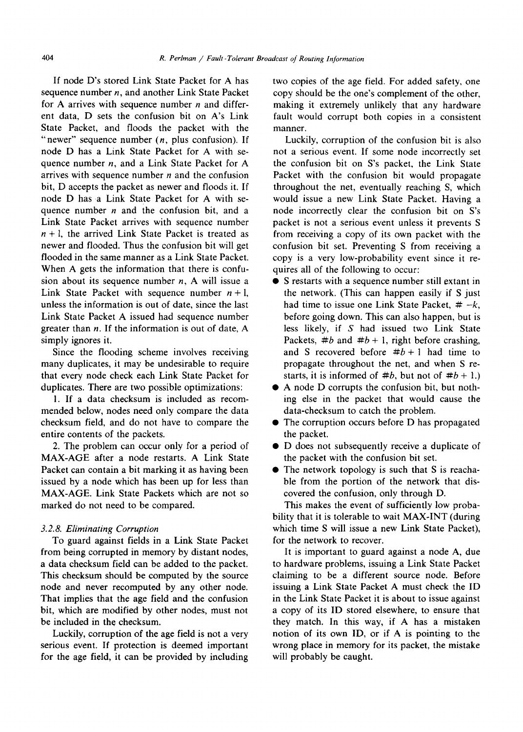If node D's stored Link State Packet for A has sequence number  $n$ , and another Link State Packet for A arrives with sequence number  $n$  and different data, D sets the confusion bit on A's Link State Packet, and floods the packet with the "newer" sequence number  $(n,$  plus confusion). If node D has a Link State Packet for A with sequence number  $n$ , and a Link State Packet for A arrives with sequence number  $n$  and the confusion bit, D accepts the packet as newer and floods it. If node D has a Link State Packet for A with sequence number  $n$  and the confusion bit, and a Link State Packet arrives with sequence number  $n + 1$ , the arrived Link State Packet is treated as newer and flooded. Thus the confusion bit will get flooded in the same manner as a Link State Packet. When A gets the information that there is confusion about its sequence number  $n$ , A will issue a Link State Packet with sequence number  $n + 1$ , unless the information is out of date, since the last Link State Packet A issued had sequence number greater than  $n$ . If the information is out of date, A simply ignores it.

Since the flooding scheme involves receiving many duplicates, it may be undesirable to require that every node check each Link State Packet for duplicates. There are two possible optimizations:

1. If a data checksum is included as recommended below, nodes need only compare the data checksum field, and do not have to compare the entire contents of the packets.

2. The problem can occur only for a period of MAX-AGE after a node restarts. A Link State Packet can contain a bit marking it as having been issued by a node which has been up for less than MAX-AGE. Link State Packets which are not so marked do not need to be compared.

## *3.2.8. Eliminating Corruption*

To guard against fields in a Link State Packet from being corrupted in memory by distant nodes, a data checksum field can be added to the packet. This checksum should be computed by the source node and never recomputed by any other node. That implies that the age field and the confusion bit, which are modified by other nodes, must not be included in the checksum.

Luckily, corruption of the age field is not a very serious event. If protection is deemed important for the age field, it can be provided by including two copies of the age field. For added safety, one copy should be the one's complement of the other, making it extremely unlikely that any hardware fault would corrupt both copies in a consistent manner.

Luckily, corruption of the confusion bit is also not a serious event. If some node incorrectly set the confusion bit on S's packet, the Link State Packet with the confusion bit would propagate throughout the net, eventually reaching S, which would issue a new Link State Packet. Having a node incorrectly clear the confusion bit on S's packet is not a serious event unless it prevents S from receiving a copy of its own packet with the confusion bit set. Preventing S from receiving a copy is a very low-probability event since it requires all of the following to occur:

- S restarts with a sequence number still extant in the network. (This can happen easily if S just had time to issue one Link State Packet,  $# -k$ , before going down. This can also happen, but is less likely, if S had issued two Link State Packets,  $#b$  and  $#b + 1$ , right before crashing, and S recovered before  $#b + 1$  had time to propagate throughout the net, and when S restarts, it is informed of #b, but not of  $#b + 1$ .)
- A node D corrupts the confusion bit, but nothing else in the packet that would cause the data-checksum to catch the problem.
- The corruption occurs before D has propagated the packet.
- D does not subsequently receive a duplicate of the packet with the confusion bit set.
- The network topology is such that S is reachable from the portion of the network that discovered the confusion, only through D.

This makes the event of sufficiently low probability that it is tolerable to wait MAX-INT (during which time S will issue a new Link State Packet), for the network to recover.

It is important to guard against a node A, due to hardware problems, issuing a Link State Packet claiming to be a different source node. Before issuing a Link State Packet A must check the ID in the Link State Packet it is about to issue against a copy of its ID stored elsewhere, to ensure that they match. In this way, if A has a mistaken notion of its own ID, or if A is pointing to the wrong place in memory for its packet, the mistake will probably be caught.